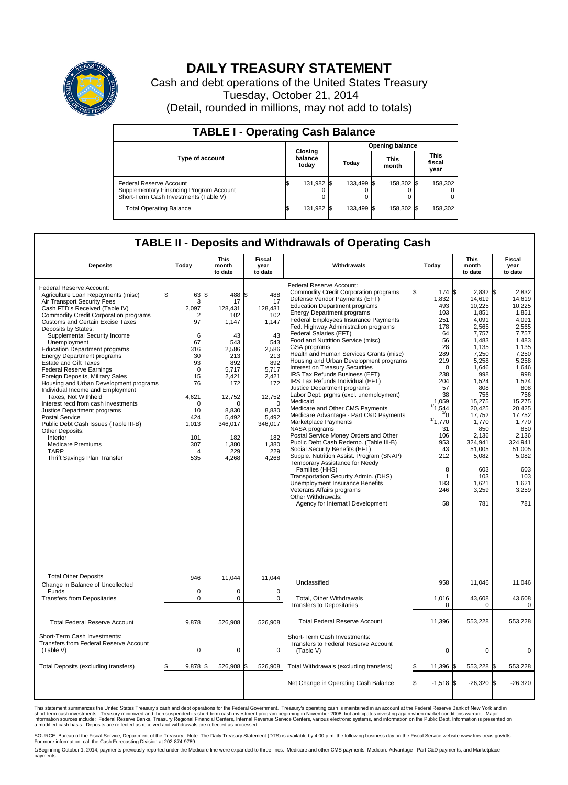

## **DAILY TREASURY STATEMENT**

Cash and debt operations of the United States Treasury Tuesday, October 21, 2014 (Detail, rounded in millions, may not add to totals)

| <b>TABLE I - Operating Cash Balance</b>                                                                     |     |                             |       |                        |                      |            |  |                               |  |  |  |
|-------------------------------------------------------------------------------------------------------------|-----|-----------------------------|-------|------------------------|----------------------|------------|--|-------------------------------|--|--|--|
|                                                                                                             |     |                             |       | <b>Opening balance</b> |                      |            |  |                               |  |  |  |
| Type of account                                                                                             |     | Closing<br>balance<br>today | Today |                        | <b>This</b><br>month |            |  | <b>This</b><br>fiscal<br>year |  |  |  |
| Federal Reserve Account<br>Supplementary Financing Program Account<br>Short-Term Cash Investments (Table V) |     | 131,982                     |       | 133.499 \$             |                      | 158,302 \$ |  | 158,302                       |  |  |  |
| <b>Total Operating Balance</b>                                                                              | I\$ | 131,982 \$                  |       | 133.499 \$             |                      | 158,302 \$ |  | 158,302                       |  |  |  |

## **TABLE II - Deposits and Withdrawals of Operating Cash**

| <b>Deposits</b>                                                                                                                                                                                                                                                                                                                                                                                                                                                                                                                                                                                                                                                                                                                                                                                                                              | Today                                                                                                                                                                           | <b>This</b><br>month<br>to date                                                                                                                                                      | <b>Fiscal</b><br>year<br>to date                                                                                                                                                              | Withdrawals                                                                                                                                                                                                                                                                                                                                                                                                                                                                                                                                                                                                                                                                                                                                                                                                                                                                                                                                                                                                                                                                                                                                            | Today                                                                                                                                                                                                                               | <b>This</b><br>month<br>to date                                                                                                                                                                                                                                           | Fiscal<br>year<br>to date                                                                                                                                                                                                                                            |
|----------------------------------------------------------------------------------------------------------------------------------------------------------------------------------------------------------------------------------------------------------------------------------------------------------------------------------------------------------------------------------------------------------------------------------------------------------------------------------------------------------------------------------------------------------------------------------------------------------------------------------------------------------------------------------------------------------------------------------------------------------------------------------------------------------------------------------------------|---------------------------------------------------------------------------------------------------------------------------------------------------------------------------------|--------------------------------------------------------------------------------------------------------------------------------------------------------------------------------------|-----------------------------------------------------------------------------------------------------------------------------------------------------------------------------------------------|--------------------------------------------------------------------------------------------------------------------------------------------------------------------------------------------------------------------------------------------------------------------------------------------------------------------------------------------------------------------------------------------------------------------------------------------------------------------------------------------------------------------------------------------------------------------------------------------------------------------------------------------------------------------------------------------------------------------------------------------------------------------------------------------------------------------------------------------------------------------------------------------------------------------------------------------------------------------------------------------------------------------------------------------------------------------------------------------------------------------------------------------------------|-------------------------------------------------------------------------------------------------------------------------------------------------------------------------------------------------------------------------------------|---------------------------------------------------------------------------------------------------------------------------------------------------------------------------------------------------------------------------------------------------------------------------|----------------------------------------------------------------------------------------------------------------------------------------------------------------------------------------------------------------------------------------------------------------------|
| Federal Reserve Account:<br>Agriculture Loan Repayments (misc)<br>Air Transport Security Fees<br>Cash FTD's Received (Table IV)<br><b>Commodity Credit Corporation programs</b><br><b>Customs and Certain Excise Taxes</b><br>Deposits by States:<br>Supplemental Security Income<br>Unemployment<br><b>Education Department programs</b><br><b>Energy Department programs</b><br><b>Estate and Gift Taxes</b><br><b>Federal Reserve Earnings</b><br>Foreign Deposits, Military Sales<br>Housing and Urban Development programs<br>Individual Income and Employment<br>Taxes. Not Withheld<br>Interest recd from cash investments<br>Justice Department programs<br><b>Postal Service</b><br>Public Debt Cash Issues (Table III-B)<br>Other Deposits:<br>Interior<br><b>Medicare Premiums</b><br><b>TARP</b><br>Thrift Savings Plan Transfer | 63<br>\$<br>3<br>2.097<br>2<br>97<br>6<br>67<br>316<br>30<br>93<br>$\mathbf 0$<br>15<br>76<br>4,621<br>$\mathbf 0$<br>10<br>424<br>1,013<br>101<br>307<br>$\overline{4}$<br>535 | 1\$<br>488<br>17<br>128.431<br>102<br>1,147<br>43<br>543<br>2,586<br>213<br>892<br>5,717<br>2,421<br>172<br>12,752<br>n<br>8.830<br>5,492<br>346,017<br>182<br>1,380<br>229<br>4,268 | \$<br>488<br>17<br>128.431<br>102<br>1,147<br>43<br>543<br>2.586<br>213<br>892<br>5,717<br>2,421<br>172<br>12,752<br>$\mathbf 0$<br>8.830<br>5,492<br>346,017<br>182<br>1,380<br>229<br>4,268 | Federal Reserve Account:<br><b>Commodity Credit Corporation programs</b><br>Defense Vendor Payments (EFT)<br><b>Education Department programs</b><br><b>Energy Department programs</b><br>Federal Employees Insurance Payments<br>Fed. Highway Administration programs<br>Federal Salaries (EFT)<br>Food and Nutrition Service (misc)<br>GSA programs<br>Health and Human Services Grants (misc)<br>Housing and Urban Development programs<br>Interest on Treasury Securities<br>IRS Tax Refunds Business (EFT)<br>IRS Tax Refunds Individual (EFT)<br>Justice Department programs<br>Labor Dept. prgms (excl. unemployment)<br>Medicaid<br>Medicare and Other CMS Payments<br>Medicare Advantage - Part C&D Payments<br>Marketplace Payments<br>NASA programs<br>Postal Service Money Orders and Other<br>Public Debt Cash Redemp. (Table III-B)<br>Social Security Benefits (EFT)<br>Supple. Nutrition Assist. Program (SNAP)<br>Temporary Assistance for Needy<br>Families (HHS)<br>Transportation Security Admin. (DHS)<br>Unemployment Insurance Benefits<br>Veterans Affairs programs<br>Other Withdrawals:<br>Agency for Internat'l Development | 174 \$<br>1,832<br>493<br>103<br>251<br>178<br>64<br>56<br>28<br>289<br>219<br>$\mathbf 0$<br>238<br>204<br>57<br>38<br>1.059<br>1/1,544<br>$\frac{1}{0}$<br>1/1,770<br>31<br>106<br>953<br>43<br>212<br>8<br>1<br>183<br>246<br>58 | $2.832$ \$<br>14,619<br>10,225<br>1,851<br>4,091<br>2,565<br>7,757<br>1.483<br>1,135<br>7,250<br>5,258<br>1,646<br>998<br>1,524<br>808<br>756<br>15,275<br>20,425<br>17,752<br>1,770<br>850<br>2,136<br>324.941<br>51,005<br>5,082<br>603<br>103<br>1,621<br>3,259<br>781 | 2.832<br>14,619<br>10,225<br>1,851<br>4,091<br>2,565<br>7,757<br>1.483<br>1,135<br>7,250<br>5,258<br>1,646<br>998<br>1,524<br>808<br>756<br>15,275<br>20.425<br>17,752<br>1,770<br>850<br>2,136<br>324.941<br>51,005<br>5,082<br>603<br>103<br>1,621<br>3,259<br>781 |
| <b>Total Other Deposits</b>                                                                                                                                                                                                                                                                                                                                                                                                                                                                                                                                                                                                                                                                                                                                                                                                                  | 946                                                                                                                                                                             | 11,044                                                                                                                                                                               | 11,044                                                                                                                                                                                        | Unclassified                                                                                                                                                                                                                                                                                                                                                                                                                                                                                                                                                                                                                                                                                                                                                                                                                                                                                                                                                                                                                                                                                                                                           | 958                                                                                                                                                                                                                                 | 11,046                                                                                                                                                                                                                                                                    | 11,046                                                                                                                                                                                                                                                               |
| Change in Balance of Uncollected<br>Funds<br><b>Transfers from Depositaries</b>                                                                                                                                                                                                                                                                                                                                                                                                                                                                                                                                                                                                                                                                                                                                                              | $\mathbf 0$<br>$\pmb{0}$                                                                                                                                                        | 0<br>0                                                                                                                                                                               | 0<br>$\mathbf 0$                                                                                                                                                                              | Total, Other Withdrawals<br><b>Transfers to Depositaries</b>                                                                                                                                                                                                                                                                                                                                                                                                                                                                                                                                                                                                                                                                                                                                                                                                                                                                                                                                                                                                                                                                                           | 1,016<br>$\mathbf 0$                                                                                                                                                                                                                | 43,608<br>0                                                                                                                                                                                                                                                               | 43,608<br>0                                                                                                                                                                                                                                                          |
| <b>Total Federal Reserve Account</b>                                                                                                                                                                                                                                                                                                                                                                                                                                                                                                                                                                                                                                                                                                                                                                                                         | 9,878                                                                                                                                                                           | 526,908                                                                                                                                                                              | 526,908                                                                                                                                                                                       | <b>Total Federal Reserve Account</b>                                                                                                                                                                                                                                                                                                                                                                                                                                                                                                                                                                                                                                                                                                                                                                                                                                                                                                                                                                                                                                                                                                                   | 11,396                                                                                                                                                                                                                              | 553,228                                                                                                                                                                                                                                                                   | 553,228                                                                                                                                                                                                                                                              |
| Short-Term Cash Investments:<br><b>Transfers from Federal Reserve Account</b><br>(Table V)                                                                                                                                                                                                                                                                                                                                                                                                                                                                                                                                                                                                                                                                                                                                                   | $\pmb{0}$                                                                                                                                                                       | 0                                                                                                                                                                                    | 0                                                                                                                                                                                             | Short-Term Cash Investments:<br>Transfers to Federal Reserve Account<br>(Table V)                                                                                                                                                                                                                                                                                                                                                                                                                                                                                                                                                                                                                                                                                                                                                                                                                                                                                                                                                                                                                                                                      | $\mathbf 0$                                                                                                                                                                                                                         | 0                                                                                                                                                                                                                                                                         | 0                                                                                                                                                                                                                                                                    |
| Total Deposits (excluding transfers)                                                                                                                                                                                                                                                                                                                                                                                                                                                                                                                                                                                                                                                                                                                                                                                                         | 9,878                                                                                                                                                                           | 526,908                                                                                                                                                                              | 526,908<br>l\$                                                                                                                                                                                | Total Withdrawals (excluding transfers)                                                                                                                                                                                                                                                                                                                                                                                                                                                                                                                                                                                                                                                                                                                                                                                                                                                                                                                                                                                                                                                                                                                | 11,396<br>\$                                                                                                                                                                                                                        | 553,228 \$<br>I\$                                                                                                                                                                                                                                                         | 553,228                                                                                                                                                                                                                                                              |
|                                                                                                                                                                                                                                                                                                                                                                                                                                                                                                                                                                                                                                                                                                                                                                                                                                              |                                                                                                                                                                                 |                                                                                                                                                                                      |                                                                                                                                                                                               | Net Change in Operating Cash Balance                                                                                                                                                                                                                                                                                                                                                                                                                                                                                                                                                                                                                                                                                                                                                                                                                                                                                                                                                                                                                                                                                                                   | Ŝ.<br>$-1,518$ \$                                                                                                                                                                                                                   | $-26,320$ \$                                                                                                                                                                                                                                                              | $-26,320$                                                                                                                                                                                                                                                            |

This statement summarizes the United States Treasury's cash and debt operations for the Federal Government. Treasury's operating cash is maintained in an account at the Federal Reserve Bank of New York and in<br>short-term ca

SOURCE: Bureau of the Fiscal Service, Department of the Treasury. Note: The Daily Treasury Statement (DTS) is available by 4:00 p.m. the following business day on the Fiscal Service website www.fms.treas.gov/dts.<br>For more

1/Beginning October 1, 2014, payments previously reported under the Medicare line were expanded to three lines: Medicare and other CMS payments, Medicare Advantage - Part C&D payments, and Marketplace<br>payments.